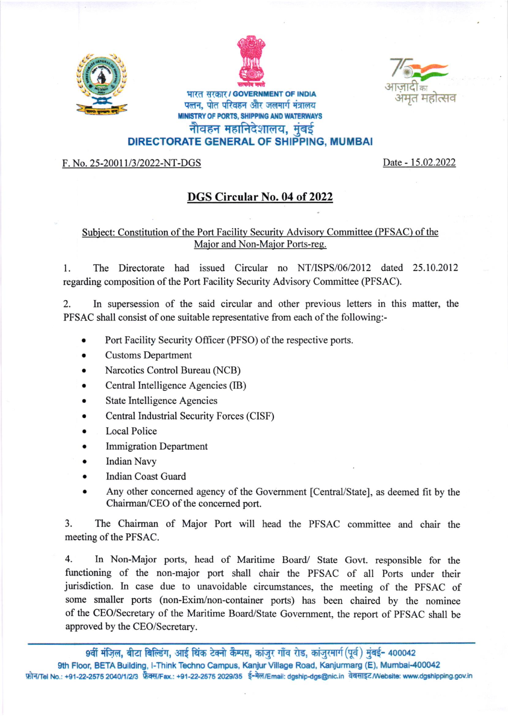





## भारत सरकार / GOVERNMENT OF INDIA पत्तन, पोत परिवहन और जलमार्ग मंत्रालय **MINISTRY OF PORTS, SHIPPING AND WATERWAYS** नौवहन महानिदेशालय, मुंबई

## DIRECTORATE GENERAL OF SHIPPING, MUMBAI

F. No. 25-20011/3/2022-NT-DGS

Date - 15.02.2022

## DGS Circular No. 04 of 2022

## Subject: Constitution of the Port Facility Security Advisory Committee (PFSAC) of the Major and Non-Major Ports-reg.

 $\mathbf{1}$ The Directorate had issued Circular no NT/ISPS/06/2012 dated 25.10.2012 regarding composition of the Port Facility Security Advisory Committee (PFSAC).

 $\mathfrak{D}$ In supersession of the said circular and other previous letters in this matter, the PFSAC shall consist of one suitable representative from each of the following:-

- Port Facility Security Officer (PFSO) of the respective ports.
- **Customs Department**
- Narcotics Control Bureau (NCB)
- Central Intelligence Agencies (IB)
- **State Intelligence Agencies**
- Central Industrial Security Forces (CISF)
- **Local Police**
- **Immigration Department**
- **Indian Navy**
- **Indian Coast Guard**
- Any other concerned agency of the Government [Central/State], as deemed fit by the Chairman/CEO of the concerned port.

3. The Chairman of Major Port will head the PFSAC committee and chair the meeting of the PFSAC.

4. In Non-Major ports, head of Maritime Board/ State Govt. responsible for the functioning of the non-major port shall chair the PFSAC of all Ports under their jurisdiction. In case due to unavoidable circumstances, the meeting of the PFSAC of some smaller ports (non-Exim/non-container ports) has been chaired by the nominee of the CEO/Secretary of the Maritime Board/State Government, the report of PFSAC shall be approved by the CEO/Secretary.